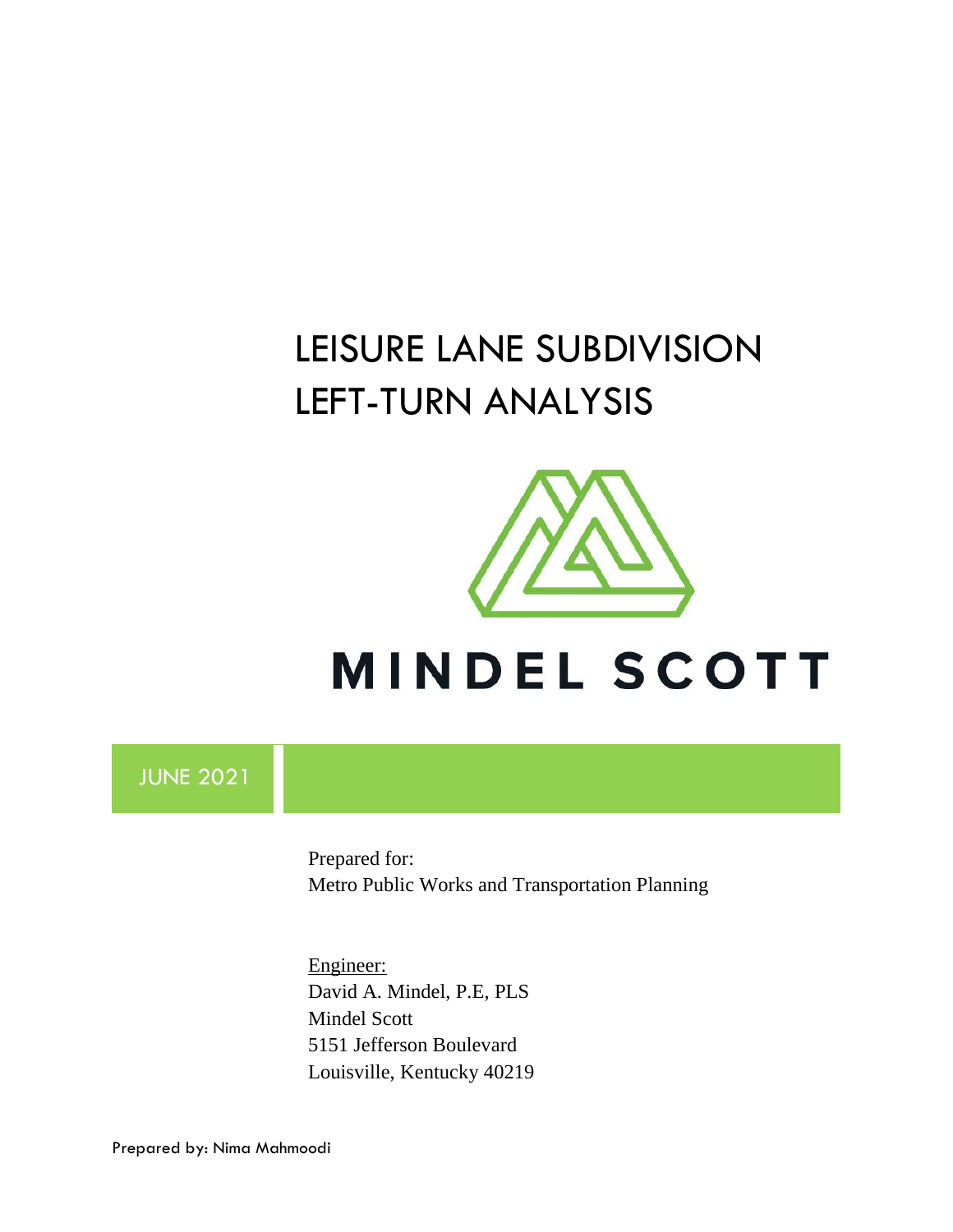# LEISURE LANE SUBDIVISION LEFT-TURN ANALYSIS



# **MINDEL SCOTT**

# JUNE 2021

Prepared for: Metro Public Works and Transportation Planning

Engineer: David A. Mindel, P.E, PLS Mindel Scott 5151 Jefferson Boulevard Louisville, Kentucky 40219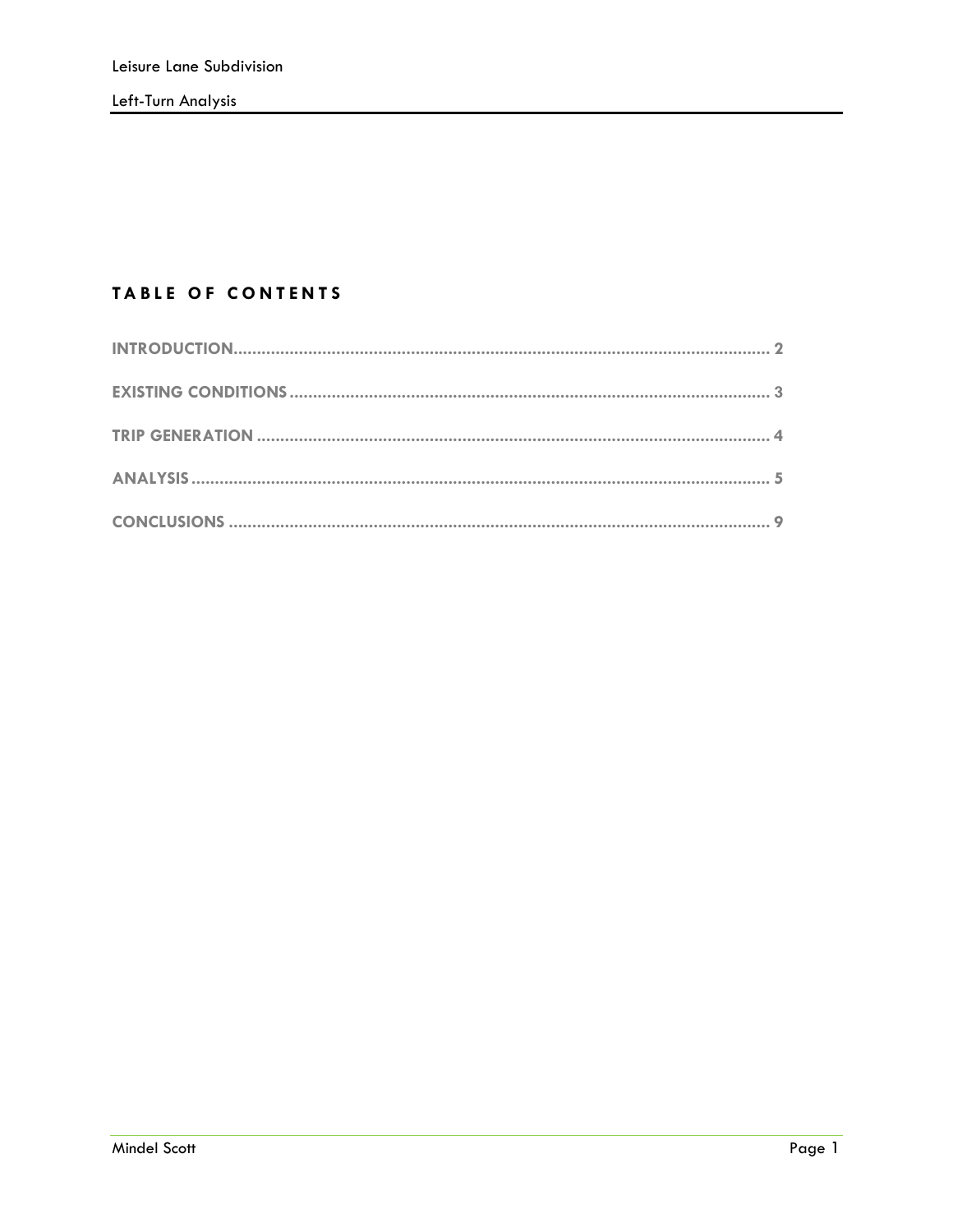#### TABLE OF CONTENTS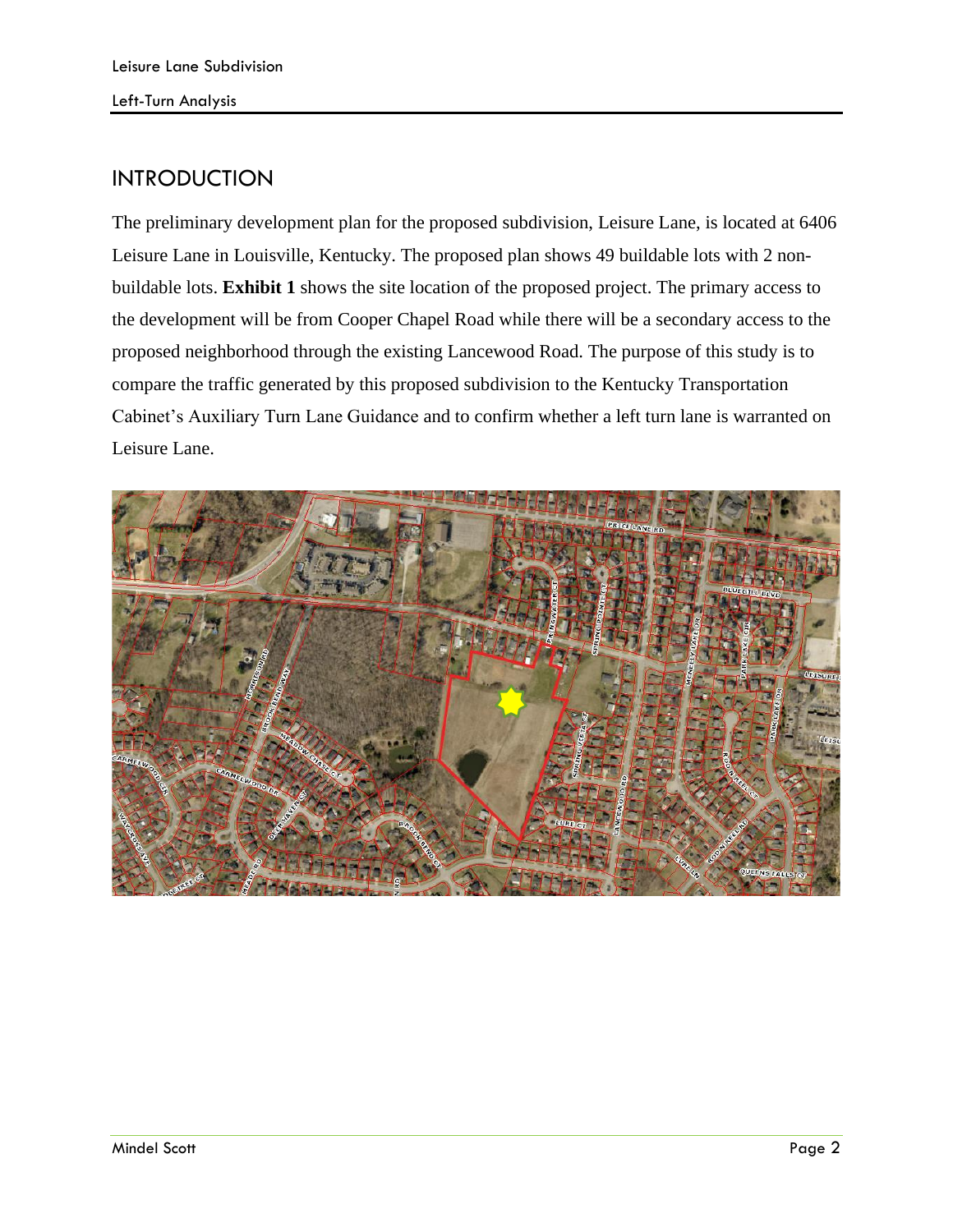## <span id="page-2-0"></span>INTRODUCTION

The preliminary development plan for the proposed subdivision, Leisure Lane, is located at 6406 Leisure Lane in Louisville, Kentucky. The proposed plan shows 49 buildable lots with 2 nonbuildable lots. **Exhibit 1** shows the site location of the proposed project. The primary access to the development will be from Cooper Chapel Road while there will be a secondary access to the proposed neighborhood through the existing Lancewood Road. The purpose of this study is to compare the traffic generated by this proposed subdivision to the Kentucky Transportation Cabinet's Auxiliary Turn Lane Guidance and to confirm whether a left turn lane is warranted on Leisure Lane.

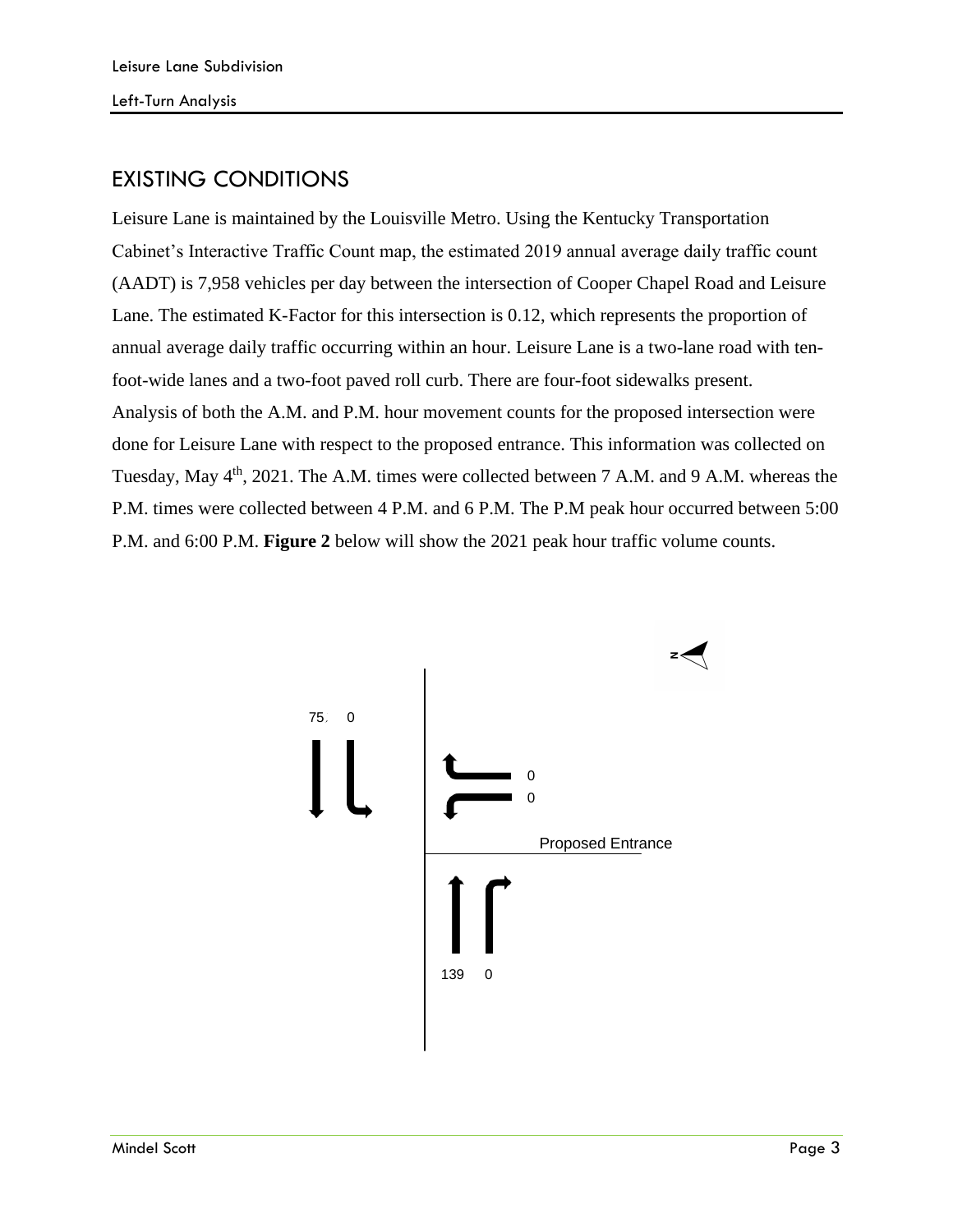# <span id="page-3-0"></span>EXISTING CONDITIONS

Leisure Lane is maintained by the Louisville Metro. Using the Kentucky Transportation Cabinet's Interactive Traffic Count map, the estimated 2019 annual average daily traffic count (AADT) is 7,958 vehicles per day between the intersection of Cooper Chapel Road and Leisure Lane. The estimated K-Factor for this intersection is 0.12, which represents the proportion of annual average daily traffic occurring within an hour. Leisure Lane is a two-lane road with tenfoot-wide lanes and a two-foot paved roll curb. There are four-foot sidewalks present. Analysis of both the A.M. and P.M. hour movement counts for the proposed intersection were done for Leisure Lane with respect to the proposed entrance. This information was collected on Tuesday, May 4<sup>th</sup>, 2021. The A.M. times were collected between 7 A.M. and 9 A.M. whereas the P.M. times were collected between 4 P.M. and 6 P.M. The P.M peak hour occurred between 5:00 P.M. and 6:00 P.M. **Figure 2** below will show the 2021 peak hour traffic volume counts.

<span id="page-3-1"></span>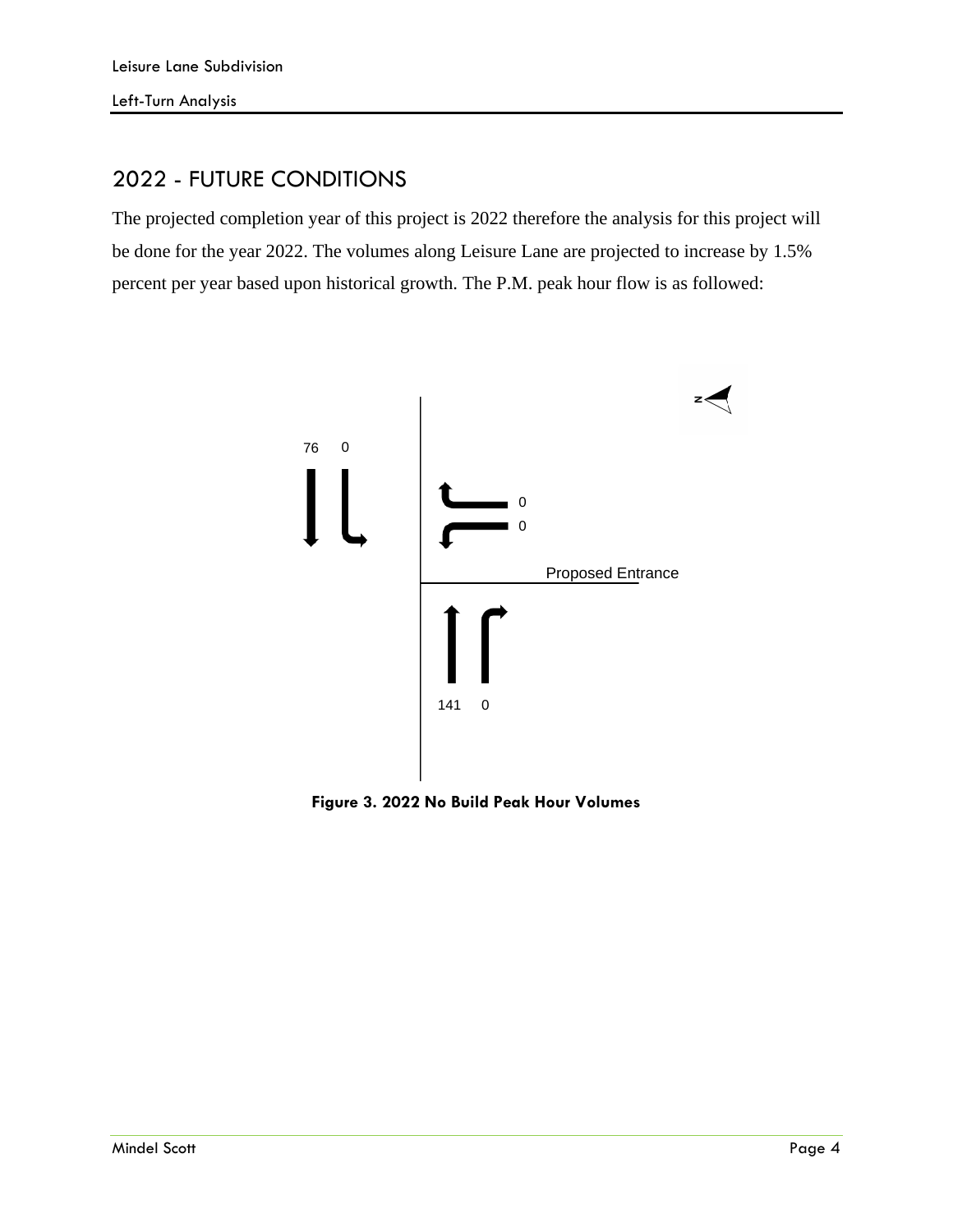# 2022 - FUTURE CONDITIONS

The projected completion year of this project is 2022 therefore the analysis for this project will be done for the year 2022. The volumes along Leisure Lane are projected to increase by 1.5% percent per year based upon historical growth. The P.M. peak hour flow is as followed:



**Figure 3. 2022 No Build Peak Hour Volumes**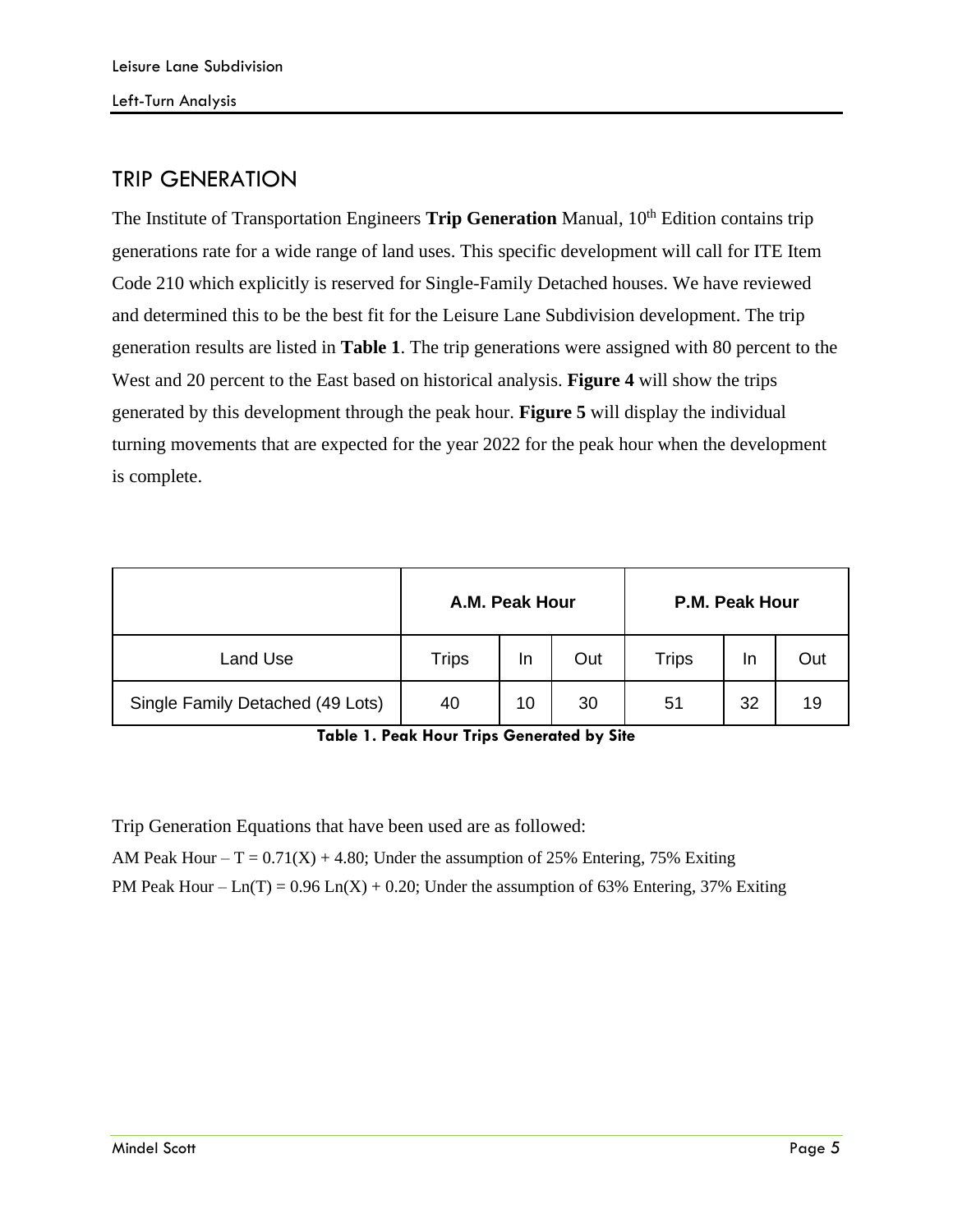#### TRIP GENERATION

The Institute of Transportation Engineers **Trip Generation** Manual, 10<sup>th</sup> Edition contains trip generations rate for a wide range of land uses. This specific development will call for ITE Item Code 210 which explicitly is reserved for Single-Family Detached houses. We have reviewed and determined this to be the best fit for the Leisure Lane Subdivision development. The trip generation results are listed in **Table 1**. The trip generations were assigned with 80 percent to the West and 20 percent to the East based on historical analysis. **Figure 4** will show the trips generated by this development through the peak hour. **Figure 5** will display the individual turning movements that are expected for the year 2022 for the peak hour when the development is complete.

<span id="page-5-0"></span>

|                                  | A.M. Peak Hour |    |     | P.M. Peak Hour |    |     |
|----------------------------------|----------------|----|-----|----------------|----|-----|
| Land Use                         | <b>Trips</b>   | In | Out | <b>Trips</b>   | In | Out |
| Single Family Detached (49 Lots) | 40             | 10 | 30  | 51             | 32 | 19  |

**Table 1. Peak Hour Trips Generated by Site**

Trip Generation Equations that have been used are as followed:

AM Peak Hour –  $T = 0.71(X) + 4.80$ ; Under the assumption of 25% Entering, 75% Exiting

PM Peak Hour –  $Ln(T) = 0.96 Ln(X) + 0.20$ ; Under the assumption of 63% Entering, 37% Exiting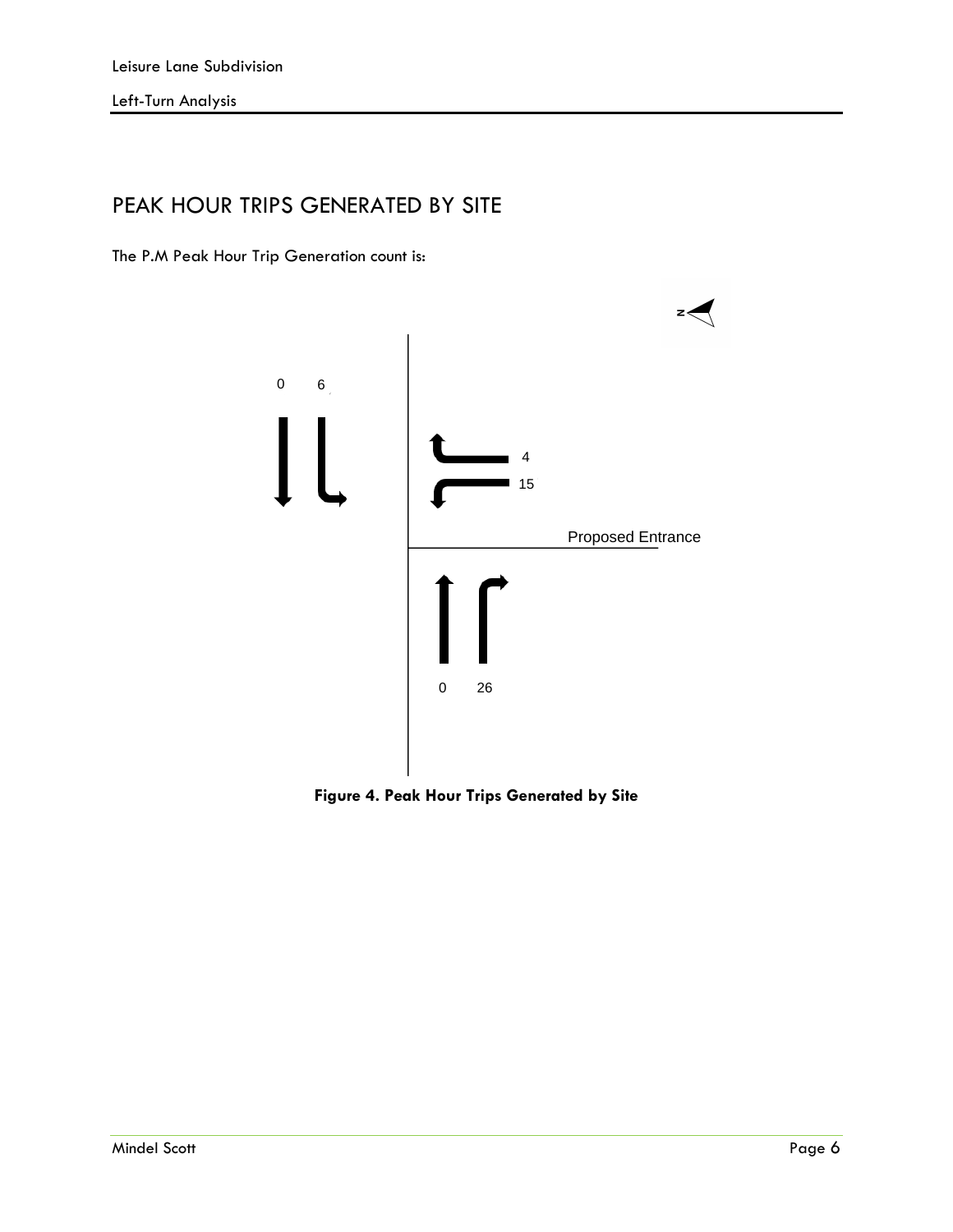## PEAK HOUR TRIPS GENERATED BY SITE

The P.M Peak Hour Trip Generation count is:



**Figure 4. Peak Hour Trips Generated by Site**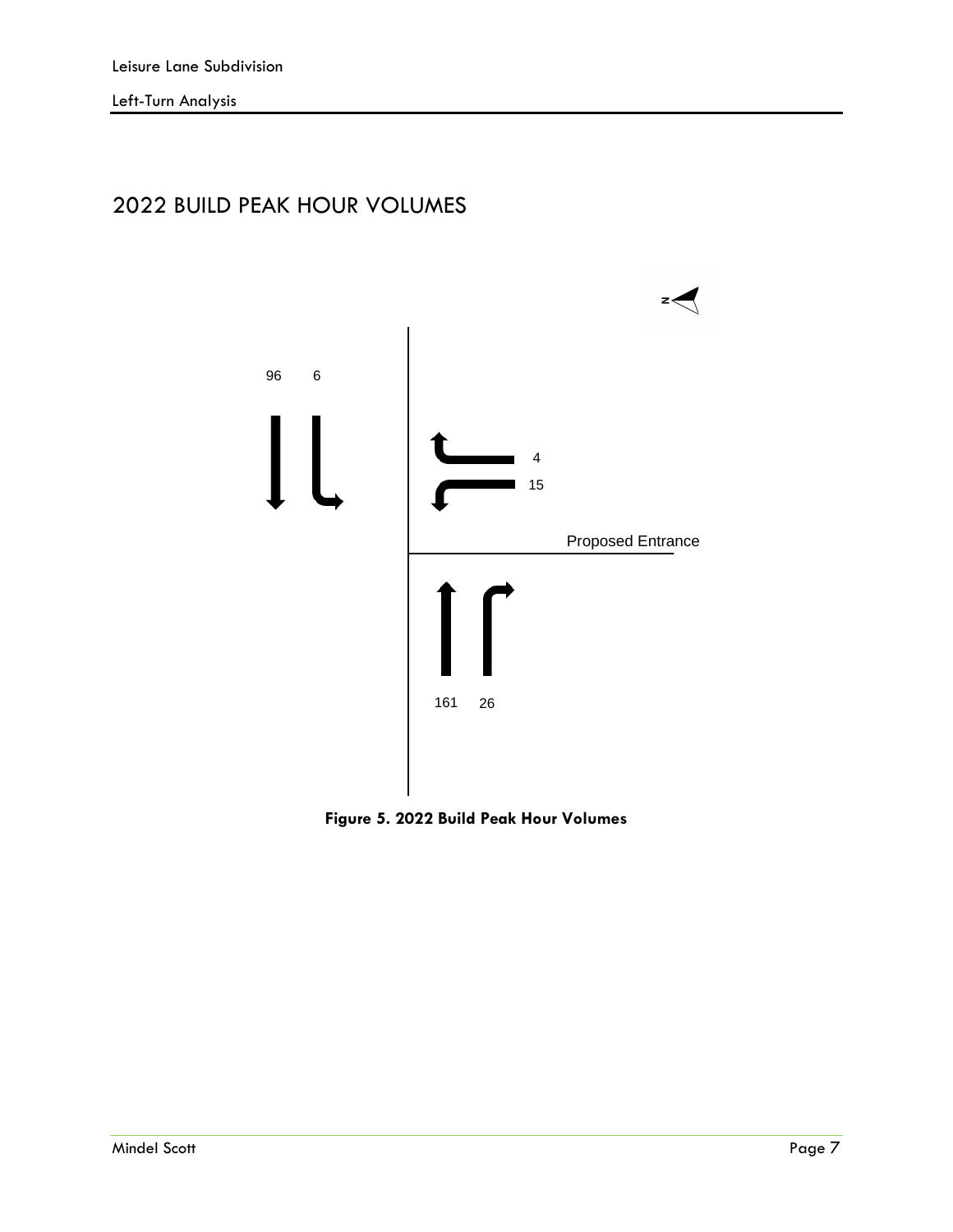# 2022 BUILD PEAK HOUR VOLUMES



**Figure 5. 2022 Build Peak Hour Volumes**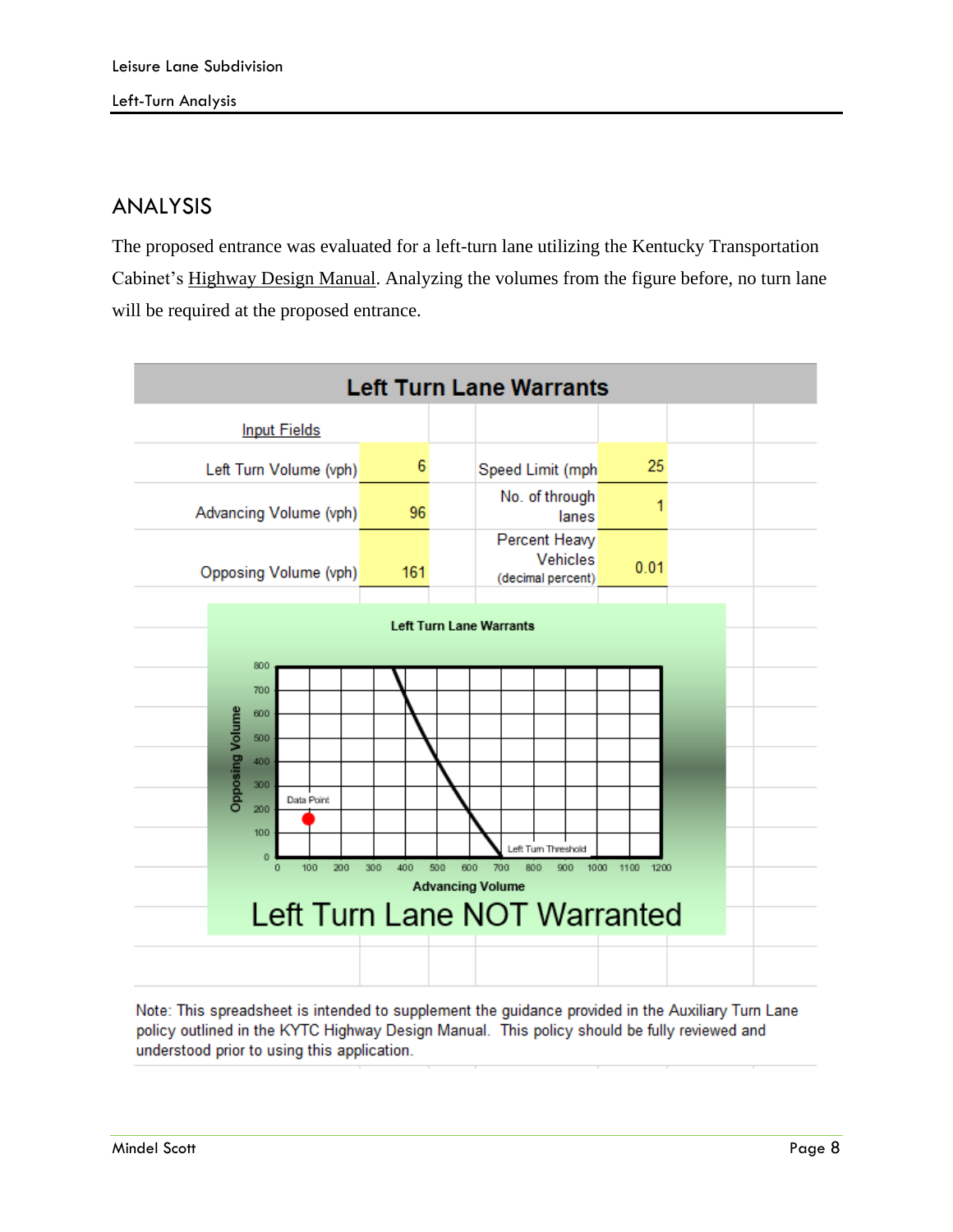#### ANALYSIS

The proposed entrance was evaluated for a left-turn lane utilizing the Kentucky Transportation Cabinet's Highway Design Manual. Analyzing the volumes from the figure before, no turn lane will be required at the proposed entrance.

<span id="page-8-0"></span>

Note: This spreadsheet is intended to supplement the quidance provided in the Auxiliary Turn Lane policy outlined in the KYTC Highway Design Manual. This policy should be fully reviewed and understood prior to using this application.